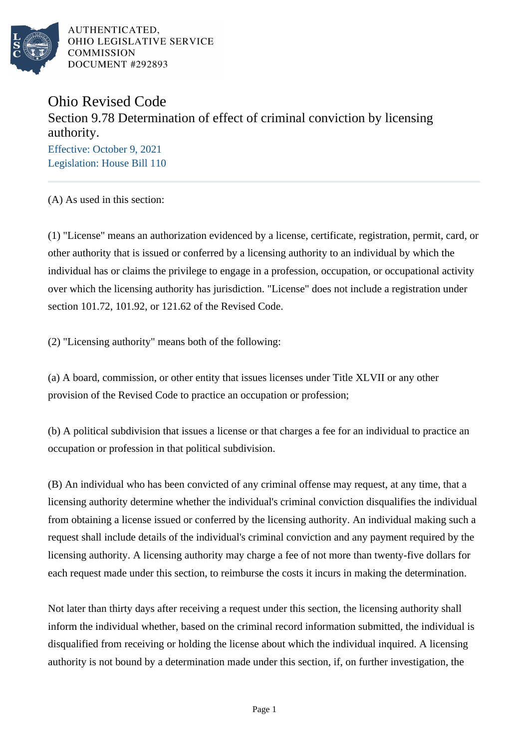

AUTHENTICATED. OHIO LEGISLATIVE SERVICE **COMMISSION** DOCUMENT #292893

## Ohio Revised Code Section 9.78 Determination of effect of criminal conviction by licensing authority.

Effective: October 9, 2021 Legislation: House Bill 110

(A) As used in this section:

(1) "License" means an authorization evidenced by a license, certificate, registration, permit, card, or other authority that is issued or conferred by a licensing authority to an individual by which the individual has or claims the privilege to engage in a profession, occupation, or occupational activity over which the licensing authority has jurisdiction. "License" does not include a registration under section 101.72, 101.92, or 121.62 of the Revised Code.

(2) "Licensing authority" means both of the following:

(a) A board, commission, or other entity that issues licenses under Title XLVII or any other provision of the Revised Code to practice an occupation or profession;

(b) A political subdivision that issues a license or that charges a fee for an individual to practice an occupation or profession in that political subdivision.

(B) An individual who has been convicted of any criminal offense may request, at any time, that a licensing authority determine whether the individual's criminal conviction disqualifies the individual from obtaining a license issued or conferred by the licensing authority. An individual making such a request shall include details of the individual's criminal conviction and any payment required by the licensing authority. A licensing authority may charge a fee of not more than twenty-five dollars for each request made under this section, to reimburse the costs it incurs in making the determination.

Not later than thirty days after receiving a request under this section, the licensing authority shall inform the individual whether, based on the criminal record information submitted, the individual is disqualified from receiving or holding the license about which the individual inquired. A licensing authority is not bound by a determination made under this section, if, on further investigation, the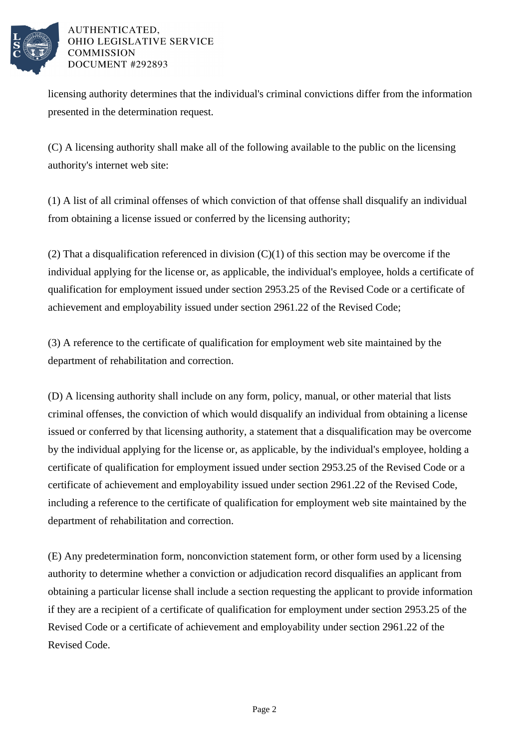

## AUTHENTICATED. OHIO LEGISLATIVE SERVICE **COMMISSION** DOCUMENT #292893

licensing authority determines that the individual's criminal convictions differ from the information presented in the determination request.

(C) A licensing authority shall make all of the following available to the public on the licensing authority's internet web site:

(1) A list of all criminal offenses of which conviction of that offense shall disqualify an individual from obtaining a license issued or conferred by the licensing authority;

(2) That a disqualification referenced in division  $(C)(1)$  of this section may be overcome if the individual applying for the license or, as applicable, the individual's employee, holds a certificate of qualification for employment issued under section 2953.25 of the Revised Code or a certificate of achievement and employability issued under section 2961.22 of the Revised Code;

(3) A reference to the certificate of qualification for employment web site maintained by the department of rehabilitation and correction.

(D) A licensing authority shall include on any form, policy, manual, or other material that lists criminal offenses, the conviction of which would disqualify an individual from obtaining a license issued or conferred by that licensing authority, a statement that a disqualification may be overcome by the individual applying for the license or, as applicable, by the individual's employee, holding a certificate of qualification for employment issued under section 2953.25 of the Revised Code or a certificate of achievement and employability issued under section 2961.22 of the Revised Code, including a reference to the certificate of qualification for employment web site maintained by the department of rehabilitation and correction.

(E) Any predetermination form, nonconviction statement form, or other form used by a licensing authority to determine whether a conviction or adjudication record disqualifies an applicant from obtaining a particular license shall include a section requesting the applicant to provide information if they are a recipient of a certificate of qualification for employment under section 2953.25 of the Revised Code or a certificate of achievement and employability under section 2961.22 of the Revised Code.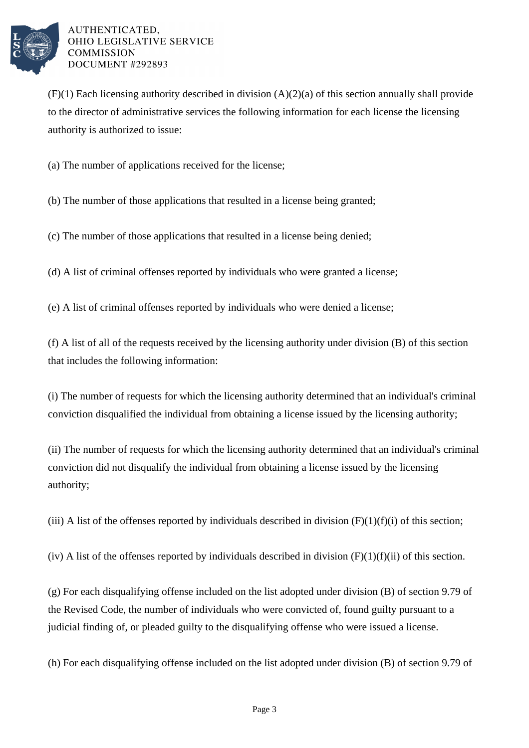

AUTHENTICATED. OHIO LEGISLATIVE SERVICE **COMMISSION** DOCUMENT #292893

 $(F)(1)$  Each licensing authority described in division  $(A)(2)(a)$  of this section annually shall provide to the director of administrative services the following information for each license the licensing authority is authorized to issue:

(a) The number of applications received for the license;

(b) The number of those applications that resulted in a license being granted;

(c) The number of those applications that resulted in a license being denied;

(d) A list of criminal offenses reported by individuals who were granted a license;

(e) A list of criminal offenses reported by individuals who were denied a license;

(f) A list of all of the requests received by the licensing authority under division (B) of this section that includes the following information:

(i) The number of requests for which the licensing authority determined that an individual's criminal conviction disqualified the individual from obtaining a license issued by the licensing authority;

(ii) The number of requests for which the licensing authority determined that an individual's criminal conviction did not disqualify the individual from obtaining a license issued by the licensing authority;

(iii) A list of the offenses reported by individuals described in division  $(F)(1)(f)(i)$  of this section;

(iv) A list of the offenses reported by individuals described in division  $(F)(1)(f)(ii)$  of this section.

(g) For each disqualifying offense included on the list adopted under division (B) of section 9.79 of the Revised Code, the number of individuals who were convicted of, found guilty pursuant to a judicial finding of, or pleaded guilty to the disqualifying offense who were issued a license.

(h) For each disqualifying offense included on the list adopted under division (B) of section 9.79 of